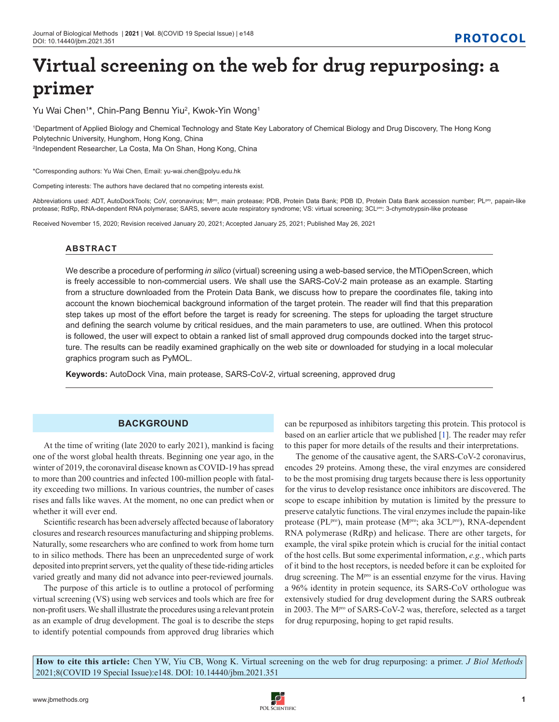# **Virtual screening on the web for drug repurposing: a primer**

Yu Wai Chen<sup>1\*</sup>, Chin-Pang Bennu Yiu<sup>2</sup>, Kwok-Yin Wong<sup>1</sup>

1 Department of Applied Biology and Chemical Technology and State Key Laboratory of Chemical Biology and Drug Discovery, The Hong Kong Polytechnic University, Hunghom, Hong Kong, China 2 Independent Researcher, La Costa, Ma On Shan, Hong Kong, China

\*Corresponding authors: Yu Wai Chen, Email: yu-wai.chen@polyu.edu.hk

Competing interests: The authors have declared that no competing interests exist.

Abbreviations used: ADT, AutoDockTools; CoV, coronavirus; M<sup>pro</sup>, main protease; PDB, Protein Data Bank; PDB ID, Protein Data Bank accession number; PL<sup>pro</sup>, papain-like protease; RdRp, RNA-dependent RNA polymerase; SARS, severe acute respiratory syndrome; VS: virtual screening; 3CL<sup>pro</sup>: 3-chymotrypsin-like protease

Received November 15, 2020; Revision received January 20, 2021; Accepted January 25, 2021; Published May 26, 2021

# **ABSTRACT**

We describe a procedure of performing *in silico* (virtual) screening using a web-based service, the MTiOpenScreen, which is freely accessible to non-commercial users. We shall use the SARS-CoV-2 main protease as an example. Starting from a structure downloaded from the Protein Data Bank, we discuss how to prepare the coordinates file, taking into account the known biochemical background information of the target protein. The reader will find that this preparation step takes up most of the effort before the target is ready for screening. The steps for uploading the target structure and defining the search volume by critical residues, and the main parameters to use, are outlined. When this protocol is followed, the user will expect to obtain a ranked list of small approved drug compounds docked into the target structure. The results can be readily examined graphically on the web site or downloaded for studying in a local molecular graphics program such as PyMOL.

**Keywords:** AutoDock Vina, main protease, SARS-CoV-2, virtual screening, approved drug

# **BACKGROUND**

At the time of writing (late 2020 to early 2021), mankind is facing one of the worst global health threats. Beginning one year ago, in the winter of 2019, the coronaviral disease known as COVID-19 has spread to more than 200 countries and infected 100-million people with fatality exceeding two millions. In various countries, the number of cases rises and falls like waves. At the moment, no one can predict when or whether it will ever end.

Scientific research has been adversely affected because of laboratory closures and research resources manufacturing and shipping problems. Naturally, some researchers who are confined to work from home turn to in silico methods. There has been an unprecedented surge of work deposited into preprint servers, yet the quality of these tide-riding articles varied greatly and many did not advance into peer-reviewed journals.

The purpose of this article is to outline a protocol of performing virtual screening (VS) using web services and tools which are free for non-profit users. We shall illustrate the procedures using a relevant protein as an example of drug development. The goal is to describe the steps to identify potential compounds from approved drug libraries which

can be repurposed as inhibitors targeting this protein. This protocol is based on an earlier article that we published [1]. The reader may refer to this paper for more details of the results and their interpretations.

The genome of the causative agent, the SARS-CoV-2 coronavirus, encodes 29 proteins. Among these, the viral enzymes are considered to be the most promising drug targets because there is less opportunity for the virus to develop resistance once inhibitors are discovered. The scope to escape inhibition by mutation is limited by the pressure to preserve catalytic functions. The viral enzymes include the papain-like protease (PL<sup>pro</sup>), main protease (M<sup>pro</sup>; aka 3CL<sup>pro</sup>), RNA-dependent RNA polymerase (RdRp) and helicase. There are other targets, for example, the viral spike protein which is crucial for the initial contact of the host cells. But some experimental information, *e.g.*, which parts of it bind to the host receptors, is needed before it can be exploited for drug screening. The M<sup>pro</sup> is an essential enzyme for the virus. Having a 96% identity in protein sequence, its SARS-CoV orthologue was extensively studied for drug development during the SARS outbreak in 2003. The M<sup>pro</sup> of SARS-CoV-2 was, therefore, selected as a target for drug repurposing, hoping to get rapid results.

**How to cite this article:** Chen YW, Yiu CB, Wong K. Virtual screening on the web for drug repurposing: a primer. *J Biol Methods* 2021;8(COVID 19 Special Issue):e148. DOI: 10.14440/jbm.2021.351

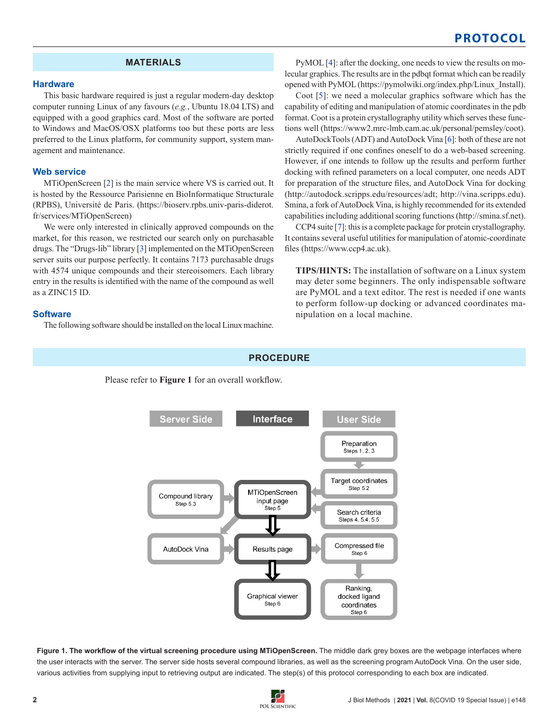# **Protocol**

# **MATERIALS**

#### **Hardware**

This basic hardware required is just a regular modern-day desktop computer running Linux of any favours (*e.g.*, Ubuntu 18.04 LTS) and equipped with a good graphics card. Most of the software are ported to Windows and MacOS/OSX platforms too but these ports are less preferred to the Linux platform, for community support, system management and maintenance.

#### **Web service**

MTiOpenScreen [2] is the main service where VS is carried out. It is hosted by the Ressource Parisienne en BioInformatique Structurale (RPBS), Université de Paris. (https://bioserv.rpbs.univ-paris-diderot. fr/services/MTiOpenScreen)

We were only interested in clinically approved compounds on the market, for this reason, we restricted our search only on purchasable drugs. The "Drugs-lib" library [3] implemented on the MTiOpenScreen server suits our purpose perfectly. It contains 7173 purchasable drugs with 4574 unique compounds and their stereoisomers. Each library entry in the results is identified with the name of the compound as well as a ZINC15 ID.

#### **Software**

The following software should be installed on the local Linux machine.

PyMOL [4]: after the docking, one needs to view the results on molecular graphics. The results are in the pdbqt format which can be readily opened with PyMOL (https://pymolwiki.org/index.php/Linux\_Install).

Coot [5]: we need a molecular graphics software which has the capability of editing and manipulation of atomic coordinates in the pdb format. Coot is a protein crystallography utility which serves these functions well (https://www2.mrc-lmb.cam.ac.uk/personal/pemsley/coot).

AutoDockTools (ADT) and AutoDock Vina [6]: both of these are not strictly required if one confines oneself to do a web-based screening. However, if one intends to follow up the results and perform further docking with refined parameters on a local computer, one needs ADT for preparation of the structure files, and AutoDock Vina for docking (http://autodock.scripps.edu/resources/adt; http://vina.scripps.edu). Smina, a fork of AutoDock Vina, is highly recommended for its extended capabilities including additional scoring functions (http://smina.sf.net).

CCP4 suite [7]: this is a complete package for protein crystallography. It contains several useful utilities for manipulation of atomic-coordinate files (https://www.ccp4.ac.uk).

**TIPS/HINTS:** The installation of software on a Linux system may deter some beginners. The only indispensable software are PyMOL and a text editor. The rest is needed if one wants to perform follow-up docking or advanced coordinates manipulation on a local machine.

#### **PROCEDURE**

Please refer to **Figure 1** for an overall workflow.



Figure 1. The workflow of the virtual screening procedure using MTiOpenScreen. The middle dark grey boxes are the webpage interfaces where the user interacts with the server. The server side hosts several compound libraries, as well as the screening program AutoDock Vina. On the user side, various activities from supplying input to retrieving output are indicated. The step(s) of this protocol corresponding to each box are indicated.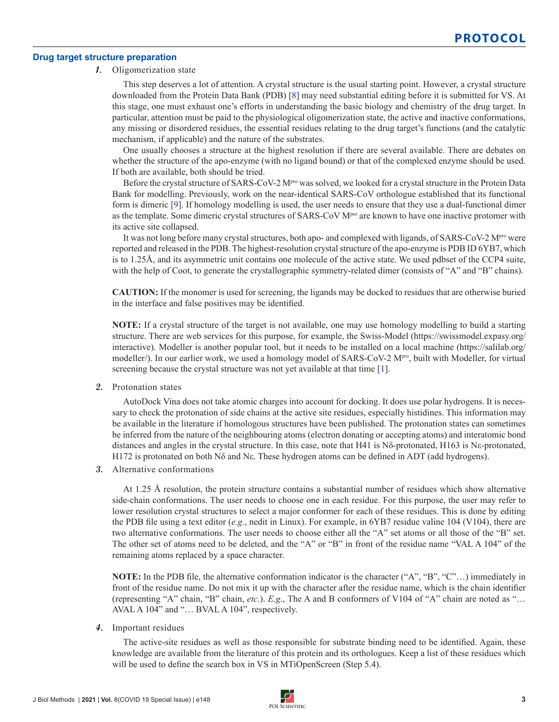#### **Drug target structure preparation**

# **1.** Oligomerization state

This step deserves a lot of attention. A crystal structure is the usual starting point. However, a crystal structure downloaded from the Protein Data Bank (PDB) [8] may need substantial editing before it is submitted for VS. At this stage, one must exhaust one's efforts in understanding the basic biology and chemistry of the drug target. In particular, attention must be paid to the physiological oligomerization state, the active and inactive conformations, any missing or disordered residues, the essential residues relating to the drug target's functions (and the catalytic mechanism, if applicable) and the nature of the substrates.

One usually chooses a structure at the highest resolution if there are several available. There are debates on whether the structure of the apo-enzyme (with no ligand bound) or that of the complexed enzyme should be used. If both are available, both should be tried.

Before the crystal structure of SARS-CoV-2 M<sup>pro</sup> was solved, we looked for a crystal structure in the Protein Data Bank for modelling. Previously, work on the near-identical SARS-CoV orthologue established that its functional form is dimeric [9]. If homology modelling is used, the user needs to ensure that they use a dual-functional dimer as the template. Some dimeric crystal structures of SARS-CoV M<sup>pro</sup> are known to have one inactive protomer with its active site collapsed.

It was not long before many crystal structures, both apo- and complexed with ligands, of SARS-CoV-2 Mpro were reported and released in the PDB. The highest-resolution crystal structure of the apo-enzyme is PDB ID 6YB7, which is to 1.25Å, and its asymmetric unit contains one molecule of the active state. We used pdbset of the CCP4 suite, with the help of Coot, to generate the crystallographic symmetry-related dimer (consists of "A" and "B" chains).

**CAUTION:** If the monomer is used for screening, the ligands may be docked to residues that are otherwise buried in the interface and false positives may be identified.

**NOTE:** If a crystal structure of the target is not available, one may use homology modelling to build a starting structure. There are web services for this purpose, for example, the Swiss-Model (https://swissmodel.expasy.org/ interactive). Modeller is another popular tool, but it needs to be installed on a local machine (https://salilab.org/ modeller/). In our earlier work, we used a homology model of SARS-CoV-2 M<sup>pro</sup>, built with Modeller, for virtual screening because the crystal structure was not yet available at that time [1].

**2.** Protonation states

AutoDock Vina does not take atomic charges into account for docking. It does use polar hydrogens. It is necessary to check the protonation of side chains at the active site residues, especially histidines. This information may be available in the literature if homologous structures have been published. The protonation states can sometimes be inferred from the nature of the neighbouring atoms (electron donating or accepting atoms) and interatomic bond distances and angles in the crystal structure. In this case, note that H41 is Nδ-protonated, H163 is Nε-protonated, H172 is protonated on both Nδ and Nε. These hydrogen atoms can be defined in ADT (add hydrogens).

**3.** Alternative conformations

At 1.25 Å resolution, the protein structure contains a substantial number of residues which show alternative side-chain conformations. The user needs to choose one in each residue. For this purpose, the user may refer to lower resolution crystal structures to select a major conformer for each of these residues. This is done by editing the PDB file using a text editor (*e.g.*, nedit in Linux). For example, in 6YB7 residue valine 104 (V104), there are two alternative conformations. The user needs to choose either all the "A" set atoms or all those of the "B" set. The other set of atoms need to be deleted, and the "A" or "B" in front of the residue name "VAL A 104" of the remaining atoms replaced by a space character.

**NOTE:** In the PDB file, the alternative conformation indicator is the character ("A", "B", "C"…) immediately in front of the residue name. Do not mix it up with the character after the residue name, which is the chain identifier (representing "A" chain, "B" chain, *etc*.). *E.g*., The A and B conformers of V104 of "A" chain are noted as "… AVAL A 104" and "… BVAL A 104", respectively.

**4.** Important residues

The active-site residues as well as those responsible for substrate binding need to be identified. Again, these knowledge are available from the literature of this protein and its orthologues. Keep a list of these residues which will be used to define the search box in VS in MTiOpenScreen (Step 5.4).

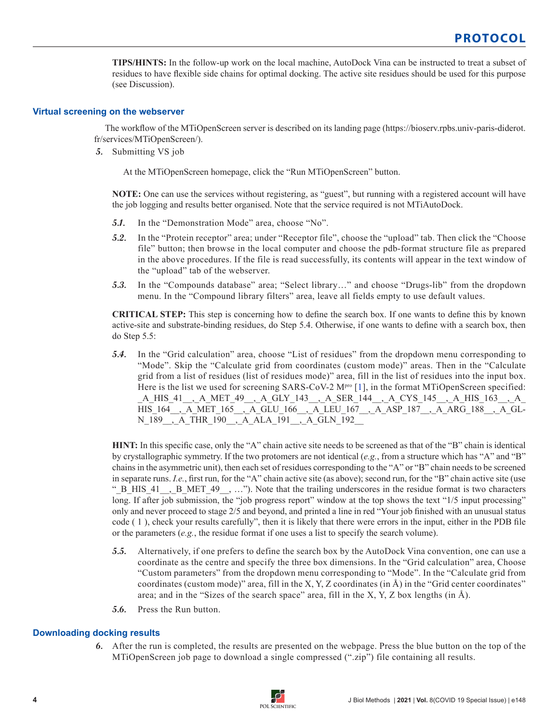**TIPS/HINTS:** In the follow-up work on the local machine, AutoDock Vina can be instructed to treat a subset of residues to have flexible side chains for optimal docking. The active site residues should be used for this purpose (see Discussion).

# **Virtual screening on the webserver**

The workflow of the MTiOpenScreen server is described on its landing page (https://bioserv.rpbs.univ-paris-diderot. fr/services/MTiOpenScreen/).

**5.** Submitting VS job

At the MTiOpenScreen homepage, click the "Run MTiOpenScreen" button.

**NOTE:** One can use the services without registering, as "guest", but running with a registered account will have the job logging and results better organised. Note that the service required is not MTiAutoDock.

- **5.1.** In the "Demonstration Mode" area, choose "No".
- **5.2.** In the "Protein receptor" area; under "Receptor file", choose the "upload" tab. Then click the "Choose file" button; then browse in the local computer and choose the pdb-format structure file as prepared in the above procedures. If the file is read successfully, its contents will appear in the text window of the "upload" tab of the webserver.
- **5.3.** In the "Compounds database" area; "Select library…" and choose "Drugs-lib" from the dropdown menu. In the "Compound library filters" area, leave all fields empty to use default values.

**CRITICAL STEP:** This step is concerning how to define the search box. If one wants to define this by known active-site and substrate-binding residues, do Step 5.4. Otherwise, if one wants to define with a search box, then do Step 5.5:

**5.4.** In the "Grid calculation" area, choose "List of residues" from the dropdown menu corresponding to "Mode". Skip the "Calculate grid from coordinates (custom mode)" areas. Then in the "Calculate grid from a list of residues (list of residues mode)" area, fill in the list of residues into the input box. Here is the list we used for screening SARS-CoV-2  $M^{pre}$  [1], in the format MTiOpenScreen specified: \_A\_HIS\_41\_\_,\_A\_MET\_49\_\_,\_A\_GLY\_143\_\_,\_A\_SER\_144\_\_,\_A\_CYS\_145\_\_,\_A\_HIS\_163\_\_,\_A\_ HIS\_164\_\_,\_A\_MET\_165\_\_,\_A\_GLU\_166\_\_,\_A\_LEU\_167\_\_,\_A\_ASP\_187\_\_,\_A\_ARG\_188\_\_,\_A\_GL-N\_189\_\_,\_A\_THR\_190\_\_,\_A\_ALA\_191\_\_,\_A\_GLN\_192\_\_

**HINT:** In this specific case, only the "A" chain active site needs to be screened as that of the "B" chain is identical by crystallographic symmetry. If the two protomers are not identical (*e.g.*, from a structure which has "A" and "B" chains in the asymmetric unit), then each set of residues corresponding to the "A" or "B" chain needs to be screened in separate runs. *I.e.*, first run, for the "A" chain active site (as above); second run, for the "B" chain active site (use " B HIS 41, B MET 49, ..."). Note that the trailing underscores in the residue format is two characters long. If after job submission, the "job progress report" window at the top shows the text "1/5 input processing" only and never proceed to stage 2/5 and beyond, and printed a line in red "Your job finished with an unusual status code ( 1 ), check your results carefully", then it is likely that there were errors in the input, either in the PDB file or the parameters (*e.g.*, the residue format if one uses a list to specify the search volume).

- **5.5.** Alternatively, if one prefers to define the search box by the AutoDock Vina convention, one can use a coordinate as the centre and specify the three box dimensions. In the "Grid calculation" area, Choose "Custom parameters" from the dropdown menu corresponding to "Mode". In the "Calculate grid from coordinates (custom mode)" area, fill in the  $X, Y, Z$  coordinates (in  $\dot{A}$ ) in the "Grid center coordinates" area; and in the "Sizes of the search space" area, fill in the X, Y, Z box lengths (in  $\AA$ ).
- **5.6.** Press the Run button.

# **Downloading docking results**

**6.** After the run is completed, the results are presented on the webpage. Press the blue button on the top of the MTiOpenScreen job page to download a single compressed (".zip") file containing all results.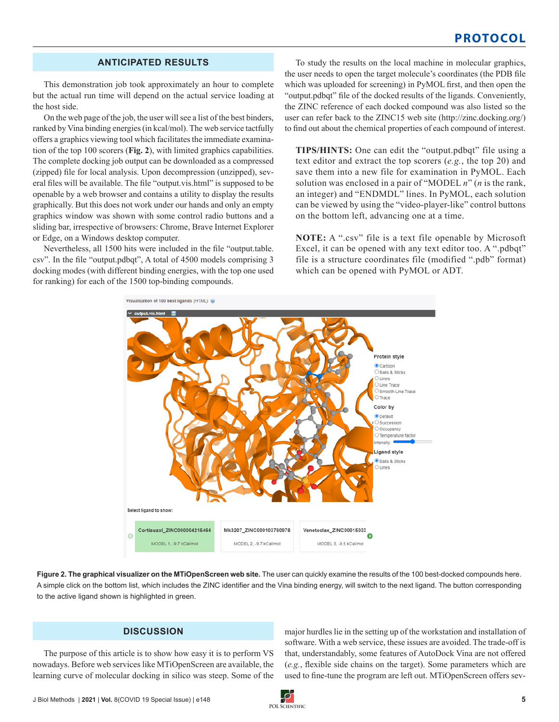# **ANTICIPATED RESULTS**

This demonstration job took approximately an hour to complete but the actual run time will depend on the actual service loading at the host side.

On the web page of the job, the user will see a list of the best binders, ranked by Vina binding energies (in kcal/mol). The web service tactfully offers a graphics viewing tool which facilitates the immediate examination of the top 100 scorers (**Fig. 2**), with limited graphics capabilities. The complete docking job output can be downloaded as a compressed (zipped) file for local analysis. Upon decompression (unzipped), several files will be available. The file "output.vis.html" is supposed to be openable by a web browser and contains a utility to display the results graphically. But this does not work under our hands and only an empty graphics window was shown with some control radio buttons and a sliding bar, irrespective of browsers: Chrome, Brave Internet Explorer or Edge, on a Windows desktop computer.

Nevertheless, all 1500 hits were included in the file "output.table. csv". In the file "output.pdbqt", A total of 4500 models comprising 3 docking modes (with different binding energies, with the top one used for ranking) for each of the 1500 top-binding compounds.

To study the results on the local machine in molecular graphics, the user needs to open the target molecule's coordinates (the PDB file which was uploaded for screening) in PyMOL first, and then open the "output.pdbqt" file of the docked results of the ligands. Conveniently, the ZINC reference of each docked compound was also listed so the user can refer back to the ZINC15 web site (http://zinc.docking.org/) to find out about the chemical properties of each compound of interest.

**TIPS/HINTS:** One can edit the "output.pdbqt" file using a text editor and extract the top scorers (*e.g.*, the top 20) and save them into a new file for examination in PyMOL. Each solution was enclosed in a pair of "MODEL *n*" (*n* is the rank, an integer) and "ENDMDL" lines. In PyMOL, each solution can be viewed by using the "video-player-like" control buttons on the bottom left, advancing one at a time.

**NOTE:** A ".csv" file is a text file openable by Microsoft Excel, it can be opened with any text editor too. A ".pdbqt" file is a structure coordinates file (modified ".pdb" format) which can be opened with PyMOL or ADT.



**Figure 2. The graphical visualizer on the MTiOpenScreen web site.** The user can quickly examine the results of the 100 best-docked compounds here. A simple click on the bottom list, which includes the ZINC identifier and the Vina binding energy, will switch to the next ligand. The button corresponding to the active ligand shown is highlighted in green.

# **DISCUSSION**

The purpose of this article is to show how easy it is to perform VS nowadays. Before web services like MTiOpenScreen are available, the learning curve of molecular docking in silico was steep. Some of the major hurdles lie in the setting up of the workstation and installation of software. With a web service, these issues are avoided. The trade-off is that, understandably, some features of AutoDock Vina are not offered (*e.g.*, flexible side chains on the target). Some parameters which are used to fine-tune the program are left out. MTiOpenScreen offers sev-